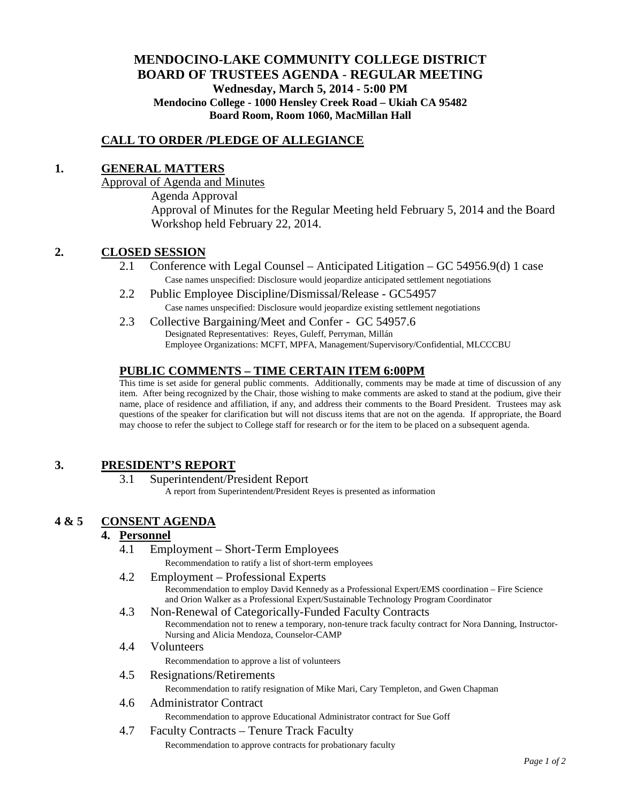# **MENDOCINO-LAKE COMMUNITY COLLEGE DISTRICT BOARD OF TRUSTEES AGENDA** - **REGULAR MEETING Wednesday, March 5, 2014 - 5:00 PM Mendocino College - 1000 Hensley Creek Road – Ukiah CA 95482 Board Room, Room 1060, MacMillan Hall**

## **CALL TO ORDER /PLEDGE OF ALLEGIANCE**

## **1. GENERAL MATTERS**

Approval of Agenda and Minutes Agenda Approval Approval of Minutes for the Regular Meeting held February 5, 2014 and the Board Workshop held February 22, 2014.

### **2. CLOSED SESSION**

- 2.1 Conference with Legal Counsel Anticipated Litigation GC 54956.9(d) 1 case Case names unspecified: Disclosure would jeopardize anticipated settlement negotiations
- 2.2 Public Employee Discipline/Dismissal/Release GC54957 Case names unspecified: Disclosure would jeopardize existing settlement negotiations
- 2.3 Collective Bargaining/Meet and Confer GC 54957.6 Designated Representatives: Reyes, Guleff, Perryman, Millán Employee Organizations: MCFT, MPFA, Management/Supervisory/Confidential, MLCCCBU

# **PUBLIC COMMENTS – TIME CERTAIN ITEM 6:00PM**

This time is set aside for general public comments. Additionally, comments may be made at time of discussion of any item. After being recognized by the Chair, those wishing to make comments are asked to stand at the podium, give their name, place of residence and affiliation, if any, and address their comments to the Board President. Trustees may ask questions of the speaker for clarification but will not discuss items that are not on the agenda. If appropriate, the Board may choose to refer the subject to College staff for research or for the item to be placed on a subsequent agenda.

### **3. PRESIDENT'S REPORT**

3.1 Superintendent/President Report

A report from Superintendent/President Reyes is presented as information

# **4 & 5 CONSENT AGENDA**

### **4. Personnel**

4.1 Employment – Short-Term Employees

Recommendation to ratify a list of short-term employees

4.2 Employment – Professional Experts

Recommendation to employ David Kennedy as a Professional Expert/EMS coordination – Fire Science and Orion Walker as a Professional Expert/Sustainable Technology Program Coordinator

4.3 Non-Renewal of Categorically-Funded Faculty Contracts

Recommendation not to renew a temporary, non-tenure track faculty contract for Nora Danning, Instructor-Nursing and Alicia Mendoza, Counselor-CAMP

- 4.4 Volunteers Recommendation to approve a list of volunteers
- 4.5 Resignations/Retirements

Recommendation to ratify resignation of Mike Mari, Cary Templeton, and Gwen Chapman

## 4.6 Administrator Contract

Recommendation to approve Educational Administrator contract for Sue Goff

4.7 Faculty Contracts – Tenure Track Faculty

Recommendation to approve contracts for probationary faculty